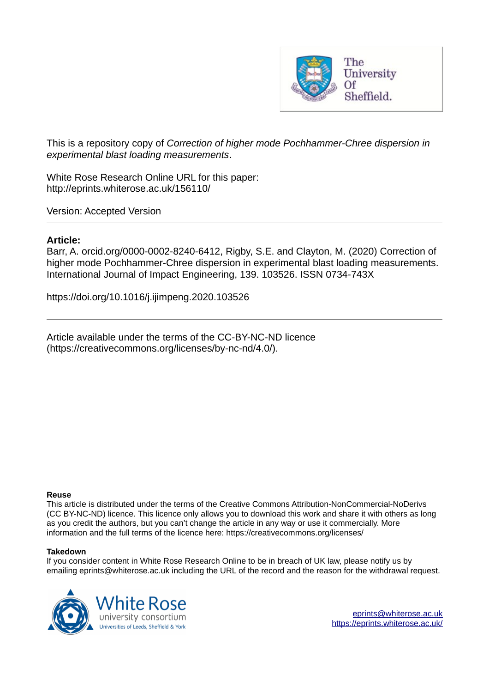

This is a repository copy of *Correction of higher mode Pochhammer-Chree dispersion in experimental blast loading measurements*.

White Rose Research Online URL for this paper: http://eprints.whiterose.ac.uk/156110/

Version: Accepted Version

## **Article:**

Barr, A. orcid.org/0000-0002-8240-6412, Rigby, S.E. and Clayton, M. (2020) Correction of higher mode Pochhammer-Chree dispersion in experimental blast loading measurements. International Journal of Impact Engineering, 139. 103526. ISSN 0734-743X

https://doi.org/10.1016/j.ijimpeng.2020.103526

Article available under the terms of the CC-BY-NC-ND licence (https://creativecommons.org/licenses/by-nc-nd/4.0/).

## **Reuse**

This article is distributed under the terms of the Creative Commons Attribution-NonCommercial-NoDerivs (CC BY-NC-ND) licence. This licence only allows you to download this work and share it with others as long as you credit the authors, but you can't change the article in any way or use it commercially. More information and the full terms of the licence here: https://creativecommons.org/licenses/

## **Takedown**

If you consider content in White Rose Research Online to be in breach of UK law, please notify us by emailing eprints@whiterose.ac.uk including the URL of the record and the reason for the withdrawal request.

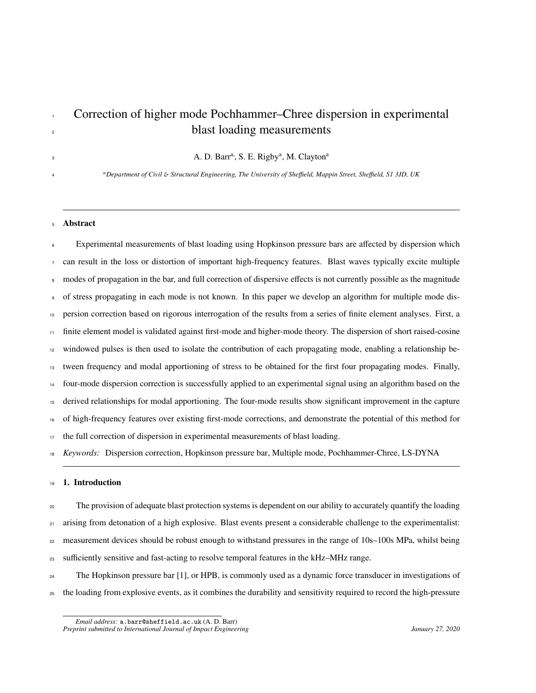# Correction of higher mode Pochhammer–Chree dispersion in experimental <sup>2</sup> blast loading measurements

A. D. Barr<sup>a,</sup>, S. E. Rigby<sup>a</sup>, M. Clayton<sup>a</sup>

*a Department of Civil* & *Structural Engineering, The University of She*ffi*eld, Mappin Street, She*ffi*eld, S1 3JD, UK*

#### Abstract

 Experimental measurements of blast loading using Hopkinson pressure bars are affected by dispersion which can result in the loss or distortion of important high-frequency features. Blast waves typically excite multiple <sup>8</sup> modes of propagation in the bar, and full correction of dispersive effects is not currently possible as the magnitude of stress propagating in each mode is not known. In this paper we develop an algorithm for multiple mode dis- persion correction based on rigorous interrogation of the results from a series of finite element analyses. First, a finite element model is validated against first-mode and higher-mode theory. The dispersion of short raised-cosine windowed pulses is then used to isolate the contribution of each propagating mode, enabling a relationship be- tween frequency and modal apportioning of stress to be obtained for the first four propagating modes. Finally, four-mode dispersion correction is successfully applied to an experimental signal using an algorithm based on the derived relationships for modal apportioning. The four-mode results show significant improvement in the capture of high-frequency features over existing first-mode corrections, and demonstrate the potential of this method for the full correction of dispersion in experimental measurements of blast loading. *Keywords:* Dispersion correction, Hopkinson pressure bar, Multiple mode, Pochhammer-Chree, LS-DYNA

#### 1. Introduction

 The provision of adequate blast protection systems is dependent on our ability to accurately quantify the loading 21 arising from detonation of a high explosive. Blast events present a considerable challenge to the experimentalist: measurement devices should be robust enough to withstand pressures in the range of 10s–100s MPa, whilst being <sup>23</sup> sufficiently sensitive and fast-acting to resolve temporal features in the kHz–MHz range.

<sup>24</sup> The Hopkinson pressure bar [1], or HPB, is commonly used as a dynamic force transducer in investigations of the loading from explosive events, as it combines the durability and sensitivity required to record the high-pressure

*Email address:* a.barr@sheffield.ac.uk (A. D. Barr) *Preprint submitted to International Journal of Impact Engineering January 27, 2020*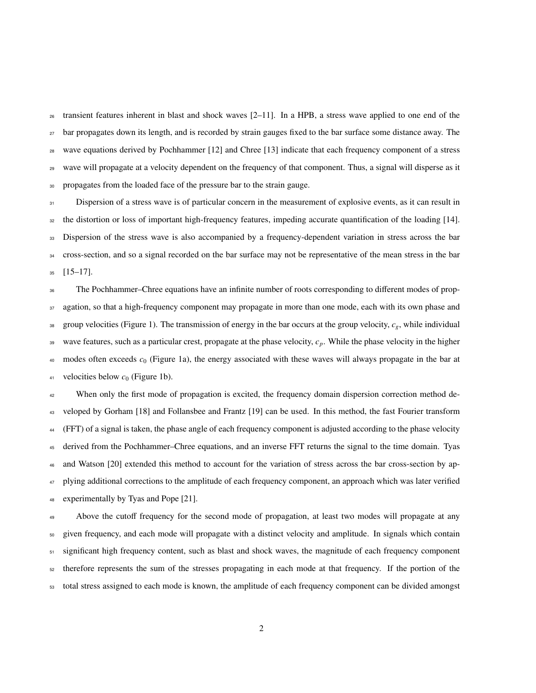transient features inherent in blast and shock waves  $[2-11]$ . In a HPB, a stress wave applied to one end of the <sup>27</sup> bar propagates down its length, and is recorded by strain gauges fixed to the bar surface some distance away. The wave equations derived by Pochhammer [12] and Chree [13] indicate that each frequency component of a stress wave will propagate at a velocity dependent on the frequency of that component. Thus, a signal will disperse as it propagates from the loaded face of the pressure bar to the strain gauge.

 Dispersion of a stress wave is of particular concern in the measurement of explosive events, as it can result in the distortion or loss of important high-frequency features, impeding accurate quantification of the loading [14]. <sup>33</sup> Dispersion of the stress wave is also accompanied by a frequency-dependent variation in stress across the bar cross-section, and so a signal recorded on the bar surface may not be representative of the mean stress in the bar [15–17].

 The Pochhammer–Chree equations have an infinite number of roots corresponding to different modes of prop-37 agation, so that a high-frequency component may propagate in more than one mode, each with its own phase and 38 group velocities (Figure 1). The transmission of energy in the bar occurs at the group velocity,  $c_g$ , while individual wave features, such as a particular crest, propagate at the phase velocity, *cp*. While the phase velocity in the higher modes often exceeds *c*<sup>0</sup> (Figure 1a), the energy associated with these waves will always propagate in the bar at 41 velocities below  $c_0$  (Figure 1b).

<sup>42</sup> When only the first mode of propagation is excited, the frequency domain dispersion correction method de- veloped by Gorham [18] and Follansbee and Frantz [19] can be used. In this method, the fast Fourier transform (FFT) of a signal is taken, the phase angle of each frequency component is adjusted according to the phase velocity derived from the Pochhammer–Chree equations, and an inverse FFT returns the signal to the time domain. Tyas and Watson [20] extended this method to account for the variation of stress across the bar cross-section by ap-<sup>47</sup> plying additional corrections to the amplitude of each frequency component, an approach which was later verified experimentally by Tyas and Pope [21].

Above the cutoff frequency for the second mode of propagation, at least two modes will propagate at any given frequency, and each mode will propagate with a distinct velocity and amplitude. In signals which contain significant high frequency content, such as blast and shock waves, the magnitude of each frequency component therefore represents the sum of the stresses propagating in each mode at that frequency. If the portion of the total stress assigned to each mode is known, the amplitude of each frequency component can be divided amongst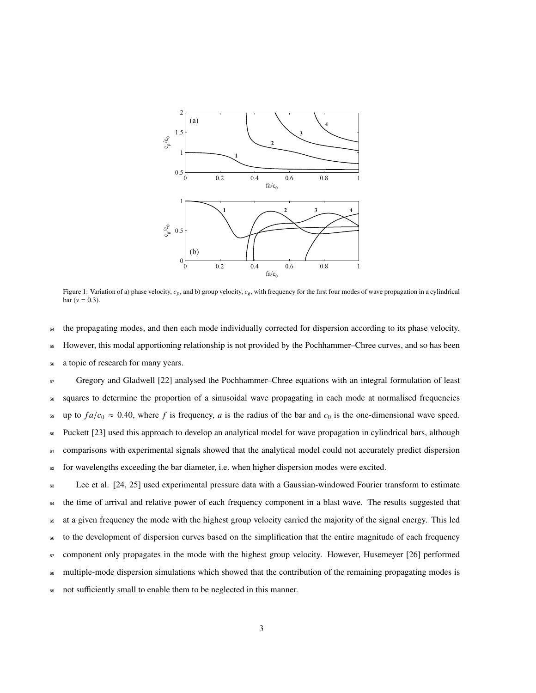

Figure 1: Variation of a) phase velocity, *cp*, and b) group velocity, *cg*, with frequency for the first four modes of wave propagation in a cylindrical bar ( $v = 0.3$ ).

<sup>54</sup> the propagating modes, and then each mode individually corrected for dispersion according to its phase velocity.

<sup>55</sup> However, this modal apportioning relationship is not provided by the Pochhammer–Chree curves, and so has been

<sup>56</sup> a topic of research for many years.

<sup>57</sup> Gregory and Gladwell [22] analysed the Pochhammer–Chree equations with an integral formulation of least <sup>58</sup> squares to determine the proportion of a sinusoidal wave propagating in each mode at normalised frequencies <sup>59</sup> up to  $fa/c_0 \approx 0.40$ , where f is frequency, a is the radius of the bar and  $c_0$  is the one-dimensional wave speed. <sup>60</sup> Puckett [23] used this approach to develop an analytical model for wave propagation in cylindrical bars, although 61 comparisons with experimental signals showed that the analytical model could not accurately predict dispersion <sup>62</sup> for wavelengths exceeding the bar diameter, i.e. when higher dispersion modes were excited.

<sup>63</sup> Lee et al. [24, 25] used experimental pressure data with a Gaussian-windowed Fourier transform to estimate <sup>64</sup> the time of arrival and relative power of each frequency component in a blast wave. The results suggested that <sup>65</sup> at a given frequency the mode with the highest group velocity carried the majority of the signal energy. This led <sup>66</sup> to the development of dispersion curves based on the simplification that the entire magnitude of each frequency  $67$  component only propagates in the mode with the highest group velocity. However, Husemeyer [26] performed <sup>68</sup> multiple-mode dispersion simulations which showed that the contribution of the remaining propagating modes is 69 not sufficiently small to enable them to be neglected in this manner.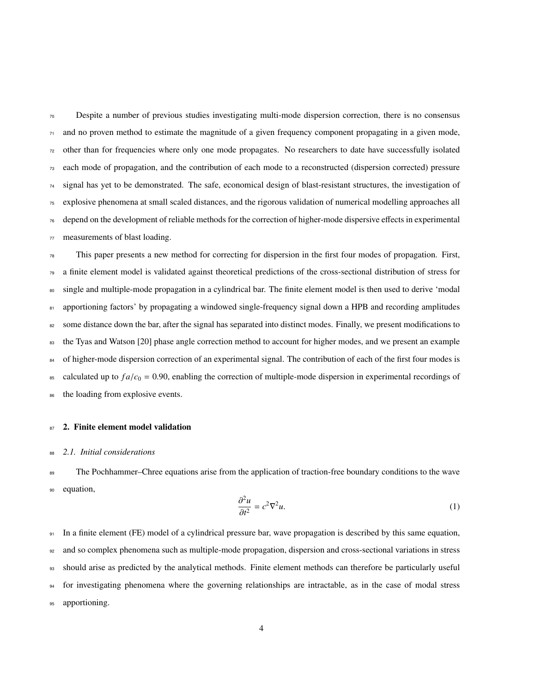Despite a number of previous studies investigating multi-mode dispersion correction, there is no consensus and no proven method to estimate the magnitude of a given frequency component propagating in a given mode, other than for frequencies where only one mode propagates. No researchers to date have successfully isolated each mode of propagation, and the contribution of each mode to a reconstructed (dispersion corrected) pressure signal has yet to be demonstrated. The safe, economical design of blast-resistant structures, the investigation of explosive phenomena at small scaled distances, and the rigorous validation of numerical modelling approaches all depend on the development of reliable methods for the correction of higher-mode dispersive effects in experimental measurements of blast loading.

 $78$  This paper presents a new method for correcting for dispersion in the first four modes of propagation. First,  $\sigma$  a finite element model is validated against theoretical predictions of the cross-sectional distribution of stress for <sup>80</sup> single and multiple-mode propagation in a cylindrical bar. The finite element model is then used to derive 'modal 81 apportioning factors' by propagating a windowed single-frequency signal down a HPB and recording amplitudes <sup>82</sup> some distance down the bar, after the signal has separated into distinct modes. Finally, we present modifications to <sup>83</sup> the Tyas and Watson [20] phase angle correction method to account for higher modes, and we present an example 84 of higher-mode dispersion correction of an experimental signal. The contribution of each of the first four modes is  $\epsilon_{\text{ss}}$  calculated up to  $fa/c_0 = 0.90$ , enabling the correction of multiple-mode dispersion in experimental recordings of 86 the loading from explosive events.

#### 87 2. Finite element model validation

#### <sup>88</sup> *2.1. Initial considerations*

<sup>89</sup> The Pochhammer–Chree equations arise from the application of traction-free boundary conditions to the wave <sup>90</sup> equation,

$$
\frac{\partial^2 u}{\partial t^2} = c^2 \nabla^2 u. \tag{1}
$$

 In a finite element (FE) model of a cylindrical pressure bar, wave propagation is described by this same equation, and so complex phenomena such as multiple-mode propagation, dispersion and cross-sectional variations in stress should arise as predicted by the analytical methods. Finite element methods can therefore be particularly useful for investigating phenomena where the governing relationships are intractable, as in the case of modal stress 95 apportioning.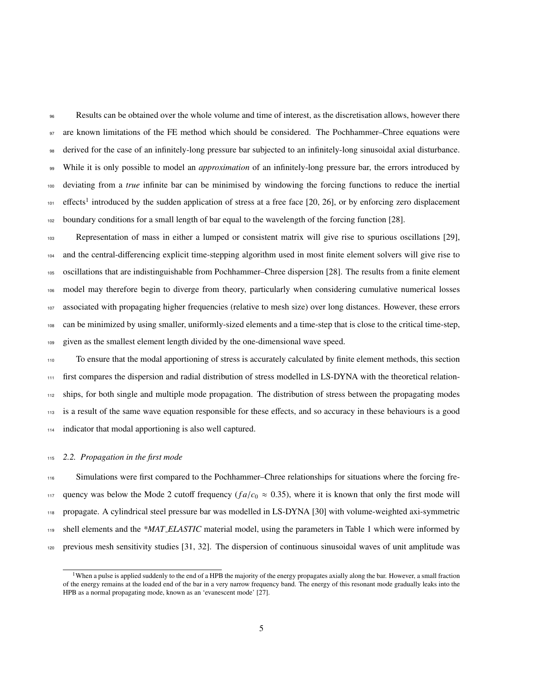Results can be obtained over the whole volume and time of interest, as the discretisation allows, however there are known limitations of the FE method which should be considered. The Pochhammer–Chree equations were derived for the case of an infinitely-long pressure bar subjected to an infinitely-long sinusoidal axial disturbance. While it is only possible to model an *approximation* of an infinitely-long pressure bar, the errors introduced by deviating from a *true* infinite bar can be minimised by windowing the forcing functions to reduce the inertial 101 effects<sup>1</sup> introduced by the sudden application of stress at a free face [20, 26], or by enforcing zero displacement boundary conditions for a small length of bar equal to the wavelength of the forcing function [28].

 Representation of mass in either a lumped or consistent matrix will give rise to spurious oscillations [29], <sup>104</sup> and the central-differencing explicit time-stepping algorithm used in most finite element solvers will give rise to oscillations that are indistinguishable from Pochhammer–Chree dispersion [28]. The results from a finite element model may therefore begin to diverge from theory, particularly when considering cumulative numerical losses associated with propagating higher frequencies (relative to mesh size) over long distances. However, these errors can be minimized by using smaller, uniformly-sized elements and a time-step that is close to the critical time-step, given as the smallest element length divided by the one-dimensional wave speed.

 To ensure that the modal apportioning of stress is accurately calculated by finite element methods, this section first compares the dispersion and radial distribution of stress modelled in LS-DYNA with the theoretical relation- ships, for both single and multiple mode propagation. The distribution of stress between the propagating modes is a result of the same wave equation responsible for these effects, and so accuracy in these behaviours is a good indicator that modal apportioning is also well captured.

#### *2.2. Propagation in the first mode*

116 Simulations were first compared to the Pochhammer–Chree relationships for situations where the forcing fre-117 quency was below the Mode 2 cutoff frequency ( $fa/c_0 \approx 0.35$ ), where it is known that only the first mode will propagate. A cylindrical steel pressure bar was modelled in LS-DYNA [30] with volume-weighted axi-symmetric shell elements and the *\*MAT ELASTIC* material model, using the parameters in Table 1 which were informed by previous mesh sensitivity studies [31, 32]. The dispersion of continuous sinusoidal waves of unit amplitude was

<sup>&</sup>lt;sup>1</sup>When a pulse is applied suddenly to the end of a HPB the majority of the energy propagates axially along the bar. However, a small fraction of the energy remains at the loaded end of the bar in a very narrow frequency band. The energy of this resonant mode gradually leaks into the HPB as a normal propagating mode, known as an 'evanescent mode' [27].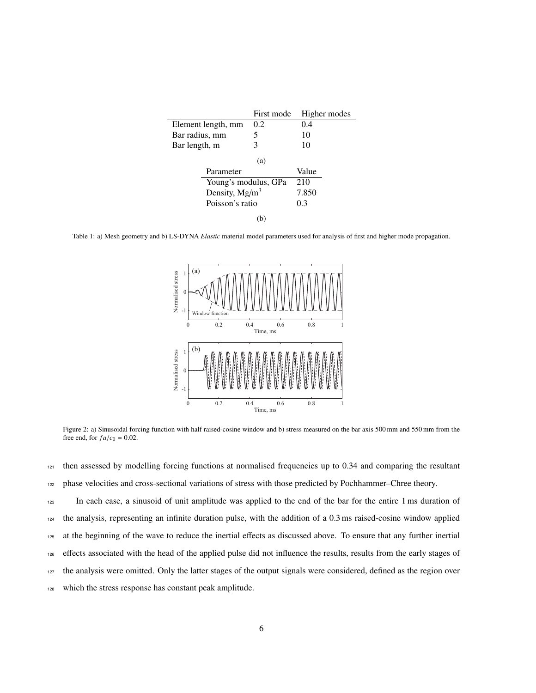|                      | First mode | Higher modes |
|----------------------|------------|--------------|
| Element length, mm   | 0.2        | 0.4          |
| Bar radius, mm       | 5          | 10           |
| Bar length, m        | 3          | 10           |
|                      | (a)        |              |
| Parameter            |            | Value        |
| Young's modulus, GPa |            | 210          |
| Density, $Mg/m^3$    |            | 7.850        |
| Poisson's ratio      |            | 0.3          |
| b.                   |            |              |

Table 1: a) Mesh geometry and b) LS-DYNA *Elastic* material model parameters used for analysis of first and higher mode propagation.



Figure 2: a) Sinusoidal forcing function with half raised-cosine window and b) stress measured on the bar axis 500 mm and 550 mm from the free end, for  $fa/c_0 = 0.02$ .

<sup>121</sup> then assessed by modelling forcing functions at normalised frequencies up to 0.34 and comparing the resultant <sup>122</sup> phase velocities and cross-sectional variations of stress with those predicted by Pochhammer–Chree theory.

 In each case, a sinusoid of unit amplitude was applied to the end of the bar for the entire 1 ms duration of the analysis, representing an infinite duration pulse, with the addition of a 0.3 ms raised-cosine window applied at the beginning of the wave to reduce the inertial effects as discussed above. To ensure that any further inertial effects associated with the head of the applied pulse did not influence the results, results from the early stages of the analysis were omitted. Only the latter stages of the output signals were considered, defined as the region over which the stress response has constant peak amplitude.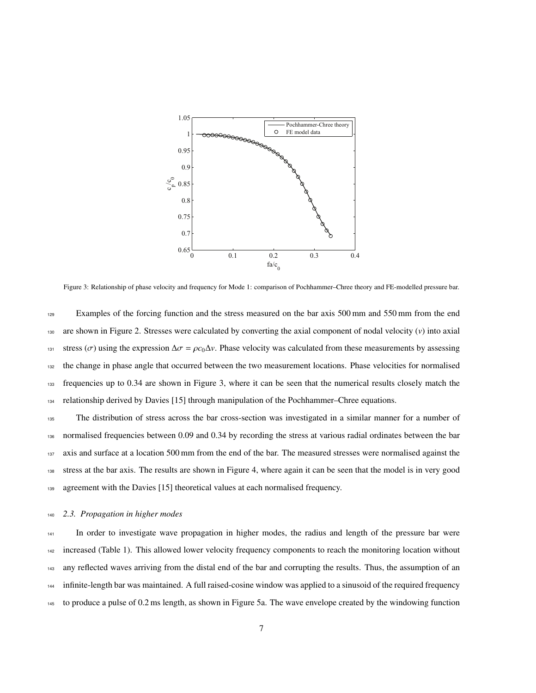

Figure 3: Relationship of phase velocity and frequency for Mode 1: comparison of Pochhammer–Chree theory and FE-modelled pressure bar.

<sup>129</sup> Examples of the forcing function and the stress measured on the bar axis 500 mm and 550 mm from the end are shown in Figure 2. Stresses were calculated by converting the axial component of nodal velocity (*v*) into axial tress (σ) using the expression  $Δσ = ρc<sub>0</sub>Δν$ . Phase velocity was calculated from these measurements by assessing the change in phase angle that occurred between the two measurement locations. Phase velocities for normalised frequencies up to 0.34 are shown in Figure 3, where it can be seen that the numerical results closely match the relationship derived by Davies [15] through manipulation of the Pochhammer–Chree equations.

 The distribution of stress across the bar cross-section was investigated in a similar manner for a number of normalised frequencies between 0.09 and 0.34 by recording the stress at various radial ordinates between the bar axis and surface at a location 500 mm from the end of the bar. The measured stresses were normalised against the stress at the bar axis. The results are shown in Figure 4, where again it can be seen that the model is in very good agreement with the Davies [15] theoretical values at each normalised frequency.

#### <sup>140</sup> *2.3. Propagation in higher modes*

 In order to investigate wave propagation in higher modes, the radius and length of the pressure bar were increased (Table 1). This allowed lower velocity frequency components to reach the monitoring location without any reflected waves arriving from the distal end of the bar and corrupting the results. Thus, the assumption of an infinite-length bar was maintained. A full raised-cosine window was applied to a sinusoid of the required frequency to produce a pulse of 0.2 ms length, as shown in Figure 5a. The wave envelope created by the windowing function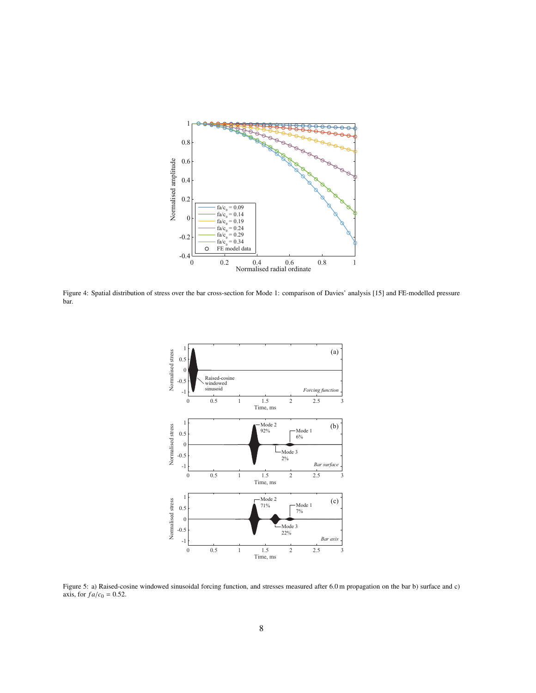

Figure 4: Spatial distribution of stress over the bar cross-section for Mode 1: comparison of Davies' analysis [15] and FE-modelled pressure bar.



Figure 5: a) Raised-cosine windowed sinusoidal forcing function, and stresses measured after 6.0 m propagation on the bar b) surface and c) axis, for  $fa/c_0 = 0.52$ .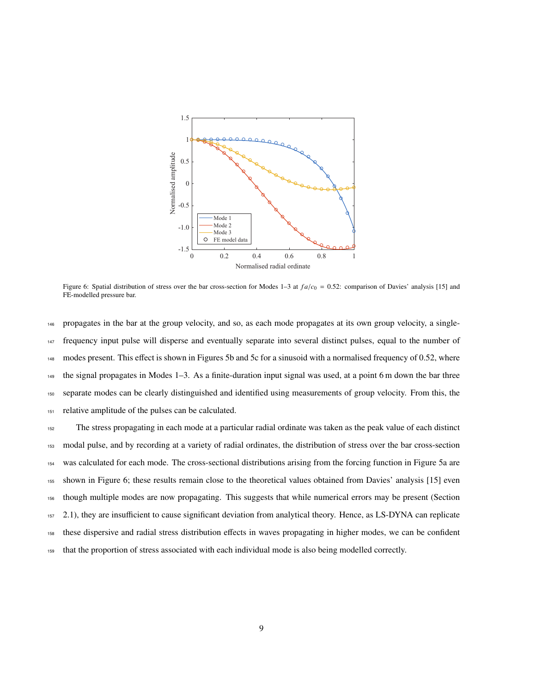

Figure 6: Spatial distribution of stress over the bar cross-section for Modes 1–3 at  $fa/c<sub>0</sub> = 0.52$ : comparison of Davies' analysis [15] and FE-modelled pressure bar.

 propagates in the bar at the group velocity, and so, as each mode propagates at its own group velocity, a single- frequency input pulse will disperse and eventually separate into several distinct pulses, equal to the number of modes present. This effect is shown in Figures 5b and 5c for a sinusoid with a normalised frequency of 0.52, where the signal propagates in Modes 1–3. As a finite-duration input signal was used, at a point 6 m down the bar three separate modes can be clearly distinguished and identified using measurements of group velocity. From this, the relative amplitude of the pulses can be calculated.

 The stress propagating in each mode at a particular radial ordinate was taken as the peak value of each distinct modal pulse, and by recording at a variety of radial ordinates, the distribution of stress over the bar cross-section was calculated for each mode. The cross-sectional distributions arising from the forcing function in Figure 5a are shown in Figure 6; these results remain close to the theoretical values obtained from Davies' analysis [15] even though multiple modes are now propagating. This suggests that while numerical errors may be present (Section 2.1), they are insufficient to cause significant deviation from analytical theory. Hence, as LS-DYNA can replicate these dispersive and radial stress distribution effects in waves propagating in higher modes, we can be confident that the proportion of stress associated with each individual mode is also being modelled correctly.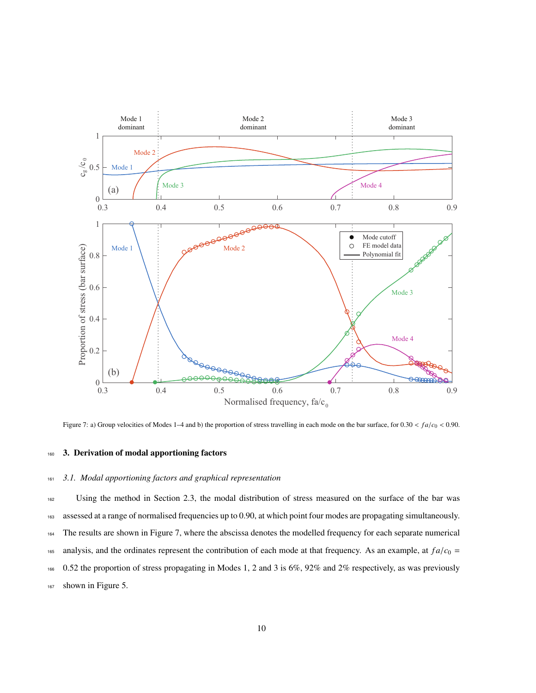

Figure 7: a) Group velocities of Modes 1–4 and b) the proportion of stress travelling in each mode on the bar surface, for 0.30 < *f a*/*c*<sup>0</sup> < 0.90.

### 160 3. Derivation of modal apportioning factors

#### <sup>161</sup> *3.1. Modal apportioning factors and graphical representation*

 Using the method in Section 2.3, the modal distribution of stress measured on the surface of the bar was assessed at a range of normalised frequencies up to 0.90, at which point four modes are propagating simultaneously. The results are shown in Figure 7, where the abscissa denotes the modelled frequency for each separate numerical 165 analysis, and the ordinates represent the contribution of each mode at that frequency. As an example, at  $fa/c_0$  = 0.52 the proportion of stress propagating in Modes 1, 2 and 3 is 6%, 92% and 2% respectively, as was previously shown in Figure 5.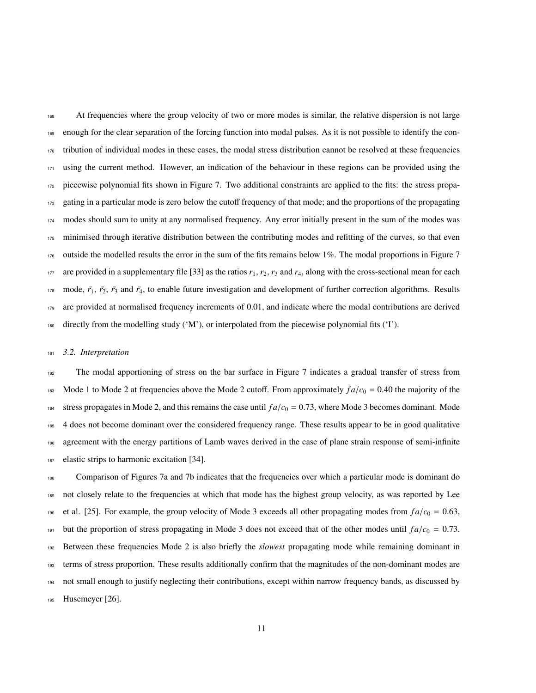At frequencies where the group velocity of two or more modes is similar, the relative dispersion is not large enough for the clear separation of the forcing function into modal pulses. As it is not possible to identify the con- tribution of individual modes in these cases, the modal stress distribution cannot be resolved at these frequencies using the current method. However, an indication of the behaviour in these regions can be provided using the piecewise polynomial fits shown in Figure 7. Two additional constraints are applied to the fits: the stress propa-173 gating in a particular mode is zero below the cutoff frequency of that mode; and the proportions of the propagating modes should sum to unity at any normalised frequency. Any error initially present in the sum of the modes was 175 minimised through iterative distribution between the contributing modes and refitting of the curves, so that even outside the modelled results the error in the sum of the fits remains below 1%. The modal proportions in Figure 7 177 are provided in a supplementary file [33] as the ratios  $r_1$ ,  $r_2$ ,  $r_3$  and  $r_4$ , along with the cross-sectional mean for each mode,  $\bar{r}_1$ ,  $\bar{r}_2$ ,  $\bar{r}_3$  and  $\bar{r}_4$ , to enable future investigation and development of further correction algorithms. Results are provided at normalised frequency increments of 0.01, and indicate where the modal contributions are derived directly from the modelling study ('M'), or interpolated from the piecewise polynomial fits ('I').

#### *3.2. Interpretation*

 The modal apportioning of stress on the bar surface in Figure 7 indicates a gradual transfer of stress from 183 Mode 1 to Mode 2 at frequencies above the Mode 2 cutoff. From approximately  $fa/c_0 = 0.40$  the majority of the <sup>184</sup> stress propagates in Mode 2, and this remains the case until  $fa/c<sub>0</sub> = 0.73$ , where Mode 3 becomes dominant. Mode 4 does not become dominant over the considered frequency range. These results appear to be in good qualitative 186 agreement with the energy partitions of Lamb waves derived in the case of plane strain response of semi-infinite elastic strips to harmonic excitation [34].

 Comparison of Figures 7a and 7b indicates that the frequencies over which a particular mode is dominant do not closely relate to the frequencies at which that mode has the highest group velocity, as was reported by Lee <sup>190</sup> et al. [25]. For example, the group velocity of Mode 3 exceeds all other propagating modes from  $fa/c<sub>0</sub> = 0.63$ , <sup>191</sup> but the proportion of stress propagating in Mode 3 does not exceed that of the other modes until  $fa/c_0 = 0.73$ . Between these frequencies Mode 2 is also briefly the *slowest* propagating mode while remaining dominant in terms of stress proportion. These results additionally confirm that the magnitudes of the non-dominant modes are not small enough to justify neglecting their contributions, except within narrow frequency bands, as discussed by Husemeyer [26].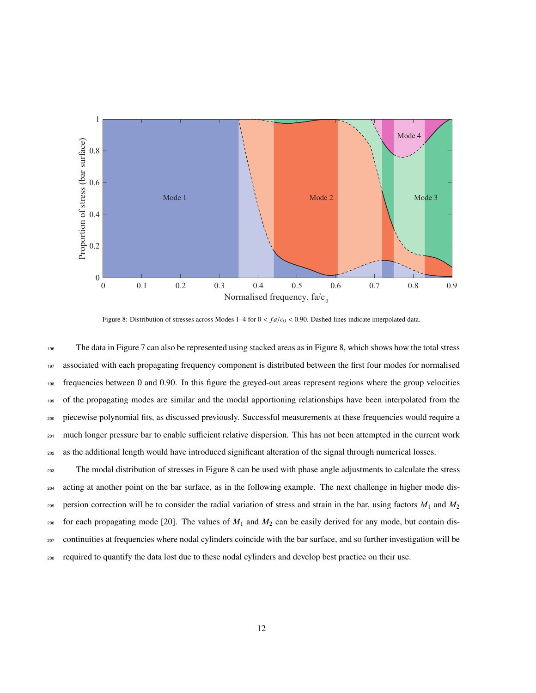

Figure 8: Distribution of stresses across Modes 1–4 for  $0 < f_a/c_0 < 0.90$ . Dashed lines indicate interpolated data.

 The data in Figure 7 can also be represented using stacked areas as in Figure 8, which shows how the total stress associated with each propagating frequency component is distributed between the first four modes for normalised frequencies between 0 and 0.90. In this figure the greyed-out areas represent regions where the group velocities of the propagating modes are similar and the modal apportioning relationships have been interpolated from the piecewise polynomial fits, as discussed previously. Successful measurements at these frequencies would require a <sup>201</sup> much longer pressure bar to enable sufficient relative dispersion. This has not been attempted in the current work as the additional length would have introduced significant alteration of the signal through numerical losses.

 The modal distribution of stresses in Figure 8 can be used with phase angle adjustments to calculate the stress acting at another point on the bar surface, as in the following example. The next challenge in higher mode dis- persion correction will be to consider the radial variation of stress and strain in the bar, using factors *M*<sup>1</sup> and *M*<sup>2</sup> <sup>206</sup> for each propagating mode [20]. The values of  $M_1$  and  $M_2$  can be easily derived for any mode, but contain dis- continuities at frequencies where nodal cylinders coincide with the bar surface, and so further investigation will be required to quantify the data lost due to these nodal cylinders and develop best practice on their use.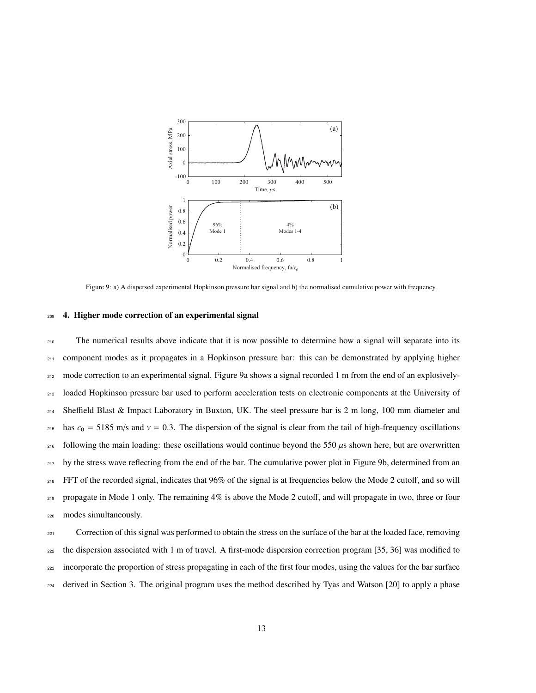

Figure 9: a) A dispersed experimental Hopkinson pressure bar signal and b) the normalised cumulative power with frequency.

#### <sup>209</sup> 4. Higher mode correction of an experimental signal

 The numerical results above indicate that it is now possible to determine how a signal will separate into its 211 component modes as it propagates in a Hopkinson pressure bar: this can be demonstrated by applying higher mode correction to an experimental signal. Figure 9a shows a signal recorded 1 m from the end of an explosively- loaded Hopkinson pressure bar used to perform acceleration tests on electronic components at the University of Sheffield Blast & Impact Laboratory in Buxton, UK. The steel pressure bar is 2 m long, 100 mm diameter and has  $c_0 = 5185$  m/s and  $v = 0.3$ . The dispersion of the signal is clear from the tail of high-frequency oscillations 216 following the main loading: these oscillations would continue beyond the 550  $\mu$ s shown here, but are overwritten <sup>217</sup> by the stress wave reflecting from the end of the bar. The cumulative power plot in Figure 9b, determined from an FFT of the recorded signal, indicates that 96% of the signal is at frequencies below the Mode 2 cutoff, and so will propagate in Mode 1 only. The remaining 4% is above the Mode 2 cutoff, and will propagate in two, three or four modes simultaneously.

<sup>221</sup> Correction of this signal was performed to obtain the stress on the surface of the bar at the loaded face, removing <sub>222</sub> the dispersion associated with 1 m of travel. A first-mode dispersion correction program [35, 36] was modified to <sup>223</sup> incorporate the proportion of stress propagating in each of the first four modes, using the values for the bar surface <sup>224</sup> derived in Section 3. The original program uses the method described by Tyas and Watson [20] to apply a phase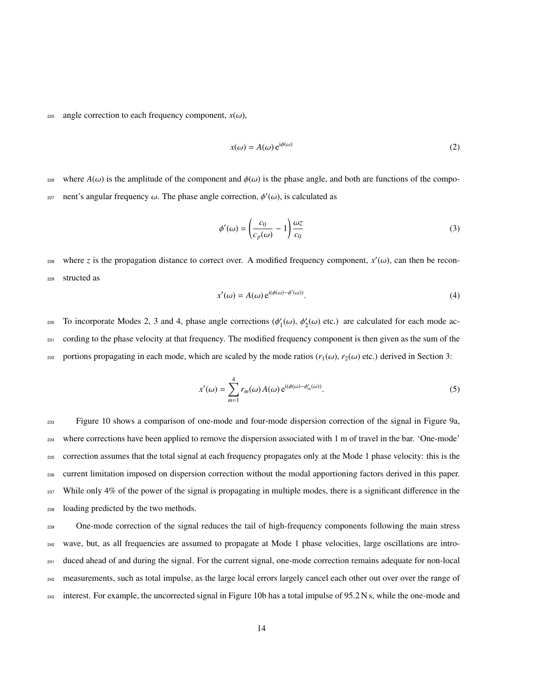225 angle correction to each frequency component,  $x(\omega)$ ,

$$
x(\omega) = A(\omega) e^{i\phi(\omega)} \tag{2}
$$

<sup>226</sup> where *A*(ω) is the amplitude of the component and  $φ(ω)$  is the phase angle, and both are functions of the compo-227 nent's angular frequency ω. The phase angle correction,  $φ' (ω)$ , is calculated as

$$
\phi'(\omega) = \left(\frac{c_0}{c_p(\omega)} - 1\right) \frac{\omega z}{c_0} \tag{3}
$$

where *z* is the propagation distance to correct over. A modified frequency component,  $x'(\omega)$ , can then be recon-<sup>229</sup> structed as

$$
x'(\omega) = A(\omega) e^{i(\phi(\omega) - \phi'(\omega))}.
$$
 (4)

To incorporate Modes 2, 3 and 4, phase angle corrections  $(\phi_1)$  $\zeta_1'(\omega), \phi_2'$ 230 To incorporate Modes 2, 3 and 4, phase angle corrections  $(\phi_1'(\omega), \phi_2'(\omega))$  etc.) are calculated for each mode ac-<sup>231</sup> cording to the phase velocity at that frequency. The modified frequency component is then given as the sum of the <sup>232</sup> portions propagating in each mode, which are scaled by the mode ratios ( $r_1(\omega)$ ,  $r_2(\omega)$  etc.) derived in Section 3:

$$
x'(\omega) = \sum_{m=1}^{4} r_m(\omega) A(\omega) e^{i(\phi(\omega) - \phi'_m(\omega))}.
$$
 (5)

 Figure 10 shows a comparison of one-mode and four-mode dispersion correction of the signal in Figure 9a, where corrections have been applied to remove the dispersion associated with 1 m of travel in the bar. 'One-mode' correction assumes that the total signal at each frequency propagates only at the Mode 1 phase velocity: this is the current limitation imposed on dispersion correction without the modal apportioning factors derived in this paper. While only 4% of the power of the signal is propagating in multiple modes, there is a significant difference in the loading predicted by the two methods.

<sup>239</sup> One-mode correction of the signal reduces the tail of high-frequency components following the main stress <sup>240</sup> wave, but, as all frequencies are assumed to propagate at Mode 1 phase velocities, large oscillations are intro-<sup>241</sup> duced ahead of and during the signal. For the current signal, one-mode correction remains adequate for non-local <sup>242</sup> measurements, such as total impulse, as the large local errors largely cancel each other out over over the range of <sup>243</sup> interest. For example, the uncorrected signal in Figure 10b has a total impulse of 95.2 N s, while the one-mode and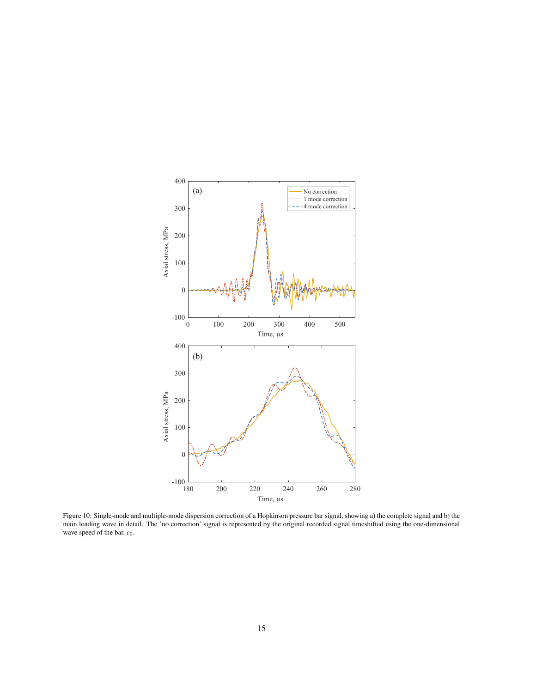

Figure 10: Single-mode and multiple-mode dispersion correction of a Hopkinson pressure bar signal, showing a) the complete signal and b) the main loading wave in detail. The 'no correction' signal is represented by the original recorded signal timeshifted using the one-dimensional wave speed of the bar,  $c_0$ .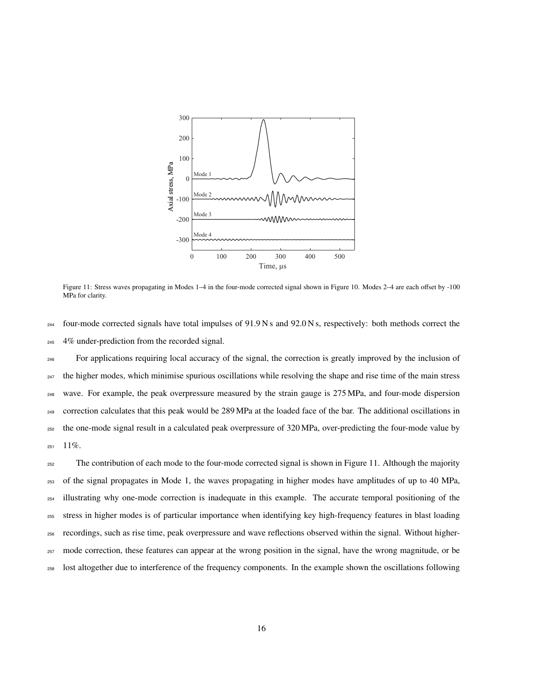

Figure 11: Stress waves propagating in Modes 1–4 in the four-mode corrected signal shown in Figure 10. Modes 2–4 are each offset by -100 MPa for clarity.

 $_{244}$  four-mode corrected signals have total impulses of 91.9 N s and 92.0 N s, respectively: both methods correct the <sup>245</sup> 4% under-prediction from the recorded signal.

 For applications requiring local accuracy of the signal, the correction is greatly improved by the inclusion of <sup>247</sup> the higher modes, which minimise spurious oscillations while resolving the shape and rise time of the main stress wave. For example, the peak overpressure measured by the strain gauge is 275 MPa, and four-mode dispersion correction calculates that this peak would be 289 MPa at the loaded face of the bar. The additional oscillations in the one-mode signal result in a calculated peak overpressure of 320 MPa, over-predicting the four-mode value by  $251 \quad 11\%$ .

<sub>252</sub> The contribution of each mode to the four-mode corrected signal is shown in Figure 11. Although the majority of the signal propagates in Mode 1, the waves propagating in higher modes have amplitudes of up to 40 MPa, illustrating why one-mode correction is inadequate in this example. The accurate temporal positioning of the stress in higher modes is of particular importance when identifying key high-frequency features in blast loading recordings, such as rise time, peak overpressure and wave reflections observed within the signal. Without higher- mode correction, these features can appear at the wrong position in the signal, have the wrong magnitude, or be lost altogether due to interference of the frequency components. In the example shown the oscillations following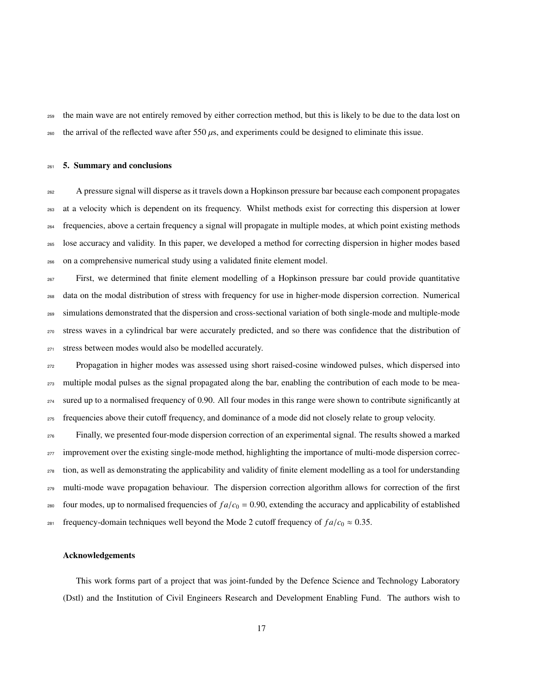the main wave are not entirely removed by either correction method, but this is likely to be due to the data lost on 260 the arrival of the reflected wave after 550  $\mu$ s, and experiments could be designed to eliminate this issue.

#### 5. Summary and conclusions

 A pressure signal will disperse as it travels down a Hopkinson pressure bar because each component propagates at a velocity which is dependent on its frequency. Whilst methods exist for correcting this dispersion at lower frequencies, above a certain frequency a signal will propagate in multiple modes, at which point existing methods lose accuracy and validity. In this paper, we developed a method for correcting dispersion in higher modes based on a comprehensive numerical study using a validated finite element model.

 First, we determined that finite element modelling of a Hopkinson pressure bar could provide quantitative data on the modal distribution of stress with frequency for use in higher-mode dispersion correction. Numerical simulations demonstrated that the dispersion and cross-sectional variation of both single-mode and multiple-mode stress waves in a cylindrical bar were accurately predicted, and so there was confidence that the distribution of stress between modes would also be modelled accurately.

 Propagation in higher modes was assessed using short raised-cosine windowed pulses, which dispersed into multiple modal pulses as the signal propagated along the bar, enabling the contribution of each mode to be mea-<sup>274</sup> sured up to a normalised frequency of 0.90. All four modes in this range were shown to contribute significantly at frequencies above their cutoff frequency, and dominance of a mode did not closely relate to group velocity.

 Finally, we presented four-mode dispersion correction of an experimental signal. The results showed a marked <sup>277</sup> improvement over the existing single-mode method, highlighting the importance of multi-mode dispersion correc- tion, as well as demonstrating the applicability and validity of finite element modelling as a tool for understanding <sub>279</sub> multi-mode wave propagation behaviour. The dispersion correction algorithm allows for correction of the first <sup>280</sup> four modes, up to normalised frequencies of  $fa/c_0 = 0.90$ , extending the accuracy and applicability of established <sup>281</sup> frequency-domain techniques well beyond the Mode 2 cutoff frequency of  $fa/c_0 \approx 0.35$ .

#### Acknowledgements

This work forms part of a project that was joint-funded by the Defence Science and Technology Laboratory (Dstl) and the Institution of Civil Engineers Research and Development Enabling Fund. The authors wish to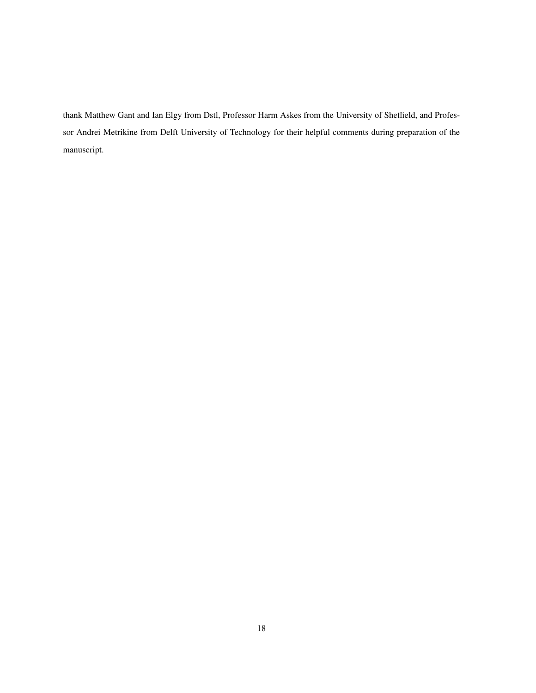thank Matthew Gant and Ian Elgy from Dstl, Professor Harm Askes from the University of Sheffield, and Professor Andrei Metrikine from Delft University of Technology for their helpful comments during preparation of the manuscript.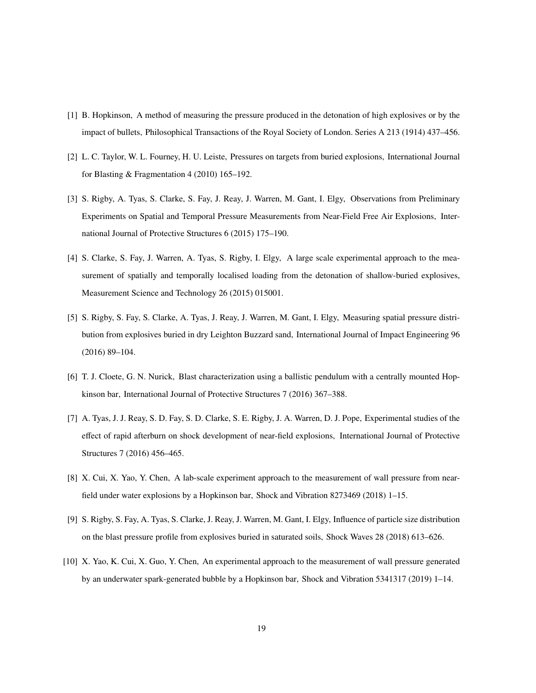- [1] B. Hopkinson, A method of measuring the pressure produced in the detonation of high explosives or by the impact of bullets, Philosophical Transactions of the Royal Society of London. Series A 213 (1914) 437–456.
- [2] L. C. Taylor, W. L. Fourney, H. U. Leiste, Pressures on targets from buried explosions, International Journal for Blasting & Fragmentation 4 (2010) 165–192.
- [3] S. Rigby, A. Tyas, S. Clarke, S. Fay, J. Reay, J. Warren, M. Gant, I. Elgy, Observations from Preliminary Experiments on Spatial and Temporal Pressure Measurements from Near-Field Free Air Explosions, International Journal of Protective Structures 6 (2015) 175–190.
- [4] S. Clarke, S. Fay, J. Warren, A. Tyas, S. Rigby, I. Elgy, A large scale experimental approach to the measurement of spatially and temporally localised loading from the detonation of shallow-buried explosives, Measurement Science and Technology 26 (2015) 015001.
- [5] S. Rigby, S. Fay, S. Clarke, A. Tyas, J. Reay, J. Warren, M. Gant, I. Elgy, Measuring spatial pressure distribution from explosives buried in dry Leighton Buzzard sand, International Journal of Impact Engineering 96 (2016) 89–104.
- [6] T. J. Cloete, G. N. Nurick, Blast characterization using a ballistic pendulum with a centrally mounted Hopkinson bar, International Journal of Protective Structures 7 (2016) 367–388.
- [7] A. Tyas, J. J. Reay, S. D. Fay, S. D. Clarke, S. E. Rigby, J. A. Warren, D. J. Pope, Experimental studies of the effect of rapid afterburn on shock development of near-field explosions, International Journal of Protective Structures 7 (2016) 456–465.
- [8] X. Cui, X. Yao, Y. Chen, A lab-scale experiment approach to the measurement of wall pressure from nearfield under water explosions by a Hopkinson bar, Shock and Vibration 8273469 (2018) 1–15.
- [9] S. Rigby, S. Fay, A. Tyas, S. Clarke, J. Reay, J. Warren, M. Gant, I. Elgy, Influence of particle size distribution on the blast pressure profile from explosives buried in saturated soils, Shock Waves 28 (2018) 613–626.
- [10] X. Yao, K. Cui, X. Guo, Y. Chen, An experimental approach to the measurement of wall pressure generated by an underwater spark-generated bubble by a Hopkinson bar, Shock and Vibration 5341317 (2019) 1–14.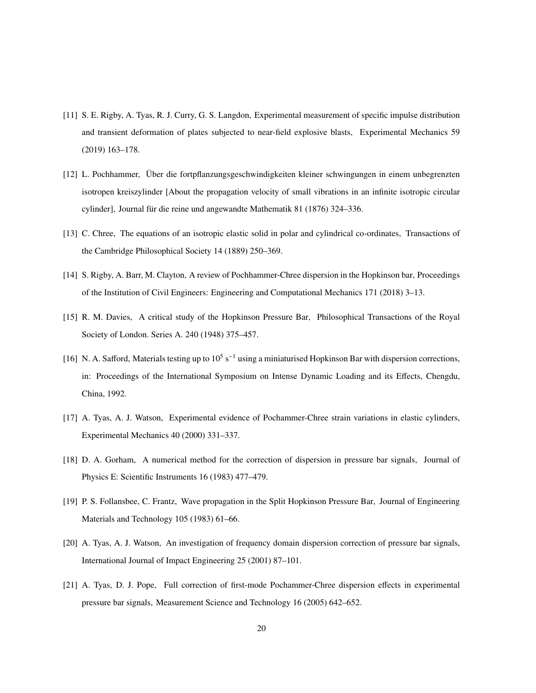- [11] S. E. Rigby, A. Tyas, R. J. Curry, G. S. Langdon, Experimental measurement of specific impulse distribution and transient deformation of plates subjected to near-field explosive blasts, Experimental Mechanics 59 (2019) 163–178.
- [12] L. Pochhammer, Uber die fortpflanzungsgeschwindigkeiten kleiner schwingungen in einem unbegrenzten ¨ isotropen kreiszylinder [About the propagation velocity of small vibrations in an infinite isotropic circular cylinder], Journal für die reine und angewandte Mathematik 81 (1876) 324–336.
- [13] C. Chree, The equations of an isotropic elastic solid in polar and cylindrical co-ordinates, Transactions of the Cambridge Philosophical Society 14 (1889) 250–369.
- [14] S. Rigby, A. Barr, M. Clayton, A review of Pochhammer-Chree dispersion in the Hopkinson bar, Proceedings of the Institution of Civil Engineers: Engineering and Computational Mechanics 171 (2018) 3–13.
- [15] R. M. Davies, A critical study of the Hopkinson Pressure Bar, Philosophical Transactions of the Royal Society of London. Series A. 240 (1948) 375–457.
- [16] N. A. Safford, Materials testing up to  $10^5$  s<sup>-1</sup> using a miniaturised Hopkinson Bar with dispersion corrections, in: Proceedings of the International Symposium on Intense Dynamic Loading and its Effects, Chengdu, China, 1992.
- [17] A. Tyas, A. J. Watson, Experimental evidence of Pochammer-Chree strain variations in elastic cylinders, Experimental Mechanics 40 (2000) 331–337.
- [18] D. A. Gorham, A numerical method for the correction of dispersion in pressure bar signals, Journal of Physics E: Scientific Instruments 16 (1983) 477–479.
- [19] P. S. Follansbee, C. Frantz, Wave propagation in the Split Hopkinson Pressure Bar, Journal of Engineering Materials and Technology 105 (1983) 61–66.
- [20] A. Tyas, A. J. Watson, An investigation of frequency domain dispersion correction of pressure bar signals, International Journal of Impact Engineering 25 (2001) 87–101.
- [21] A. Tyas, D. J. Pope, Full correction of first-mode Pochammer-Chree dispersion effects in experimental pressure bar signals, Measurement Science and Technology 16 (2005) 642–652.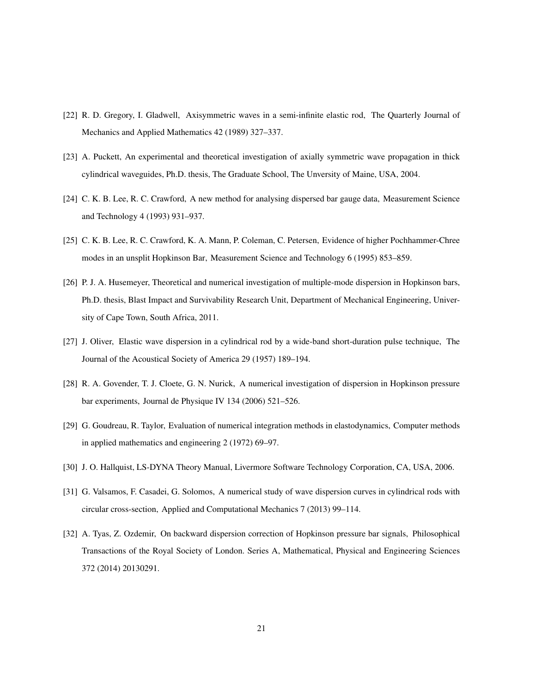- [22] R. D. Gregory, I. Gladwell, Axisymmetric waves in a semi-infinite elastic rod, The Quarterly Journal of Mechanics and Applied Mathematics 42 (1989) 327–337.
- [23] A. Puckett, An experimental and theoretical investigation of axially symmetric wave propagation in thick cylindrical waveguides, Ph.D. thesis, The Graduate School, The Unversity of Maine, USA, 2004.
- [24] C. K. B. Lee, R. C. Crawford, A new method for analysing dispersed bar gauge data, Measurement Science and Technology 4 (1993) 931–937.
- [25] C. K. B. Lee, R. C. Crawford, K. A. Mann, P. Coleman, C. Petersen, Evidence of higher Pochhammer-Chree modes in an unsplit Hopkinson Bar, Measurement Science and Technology 6 (1995) 853–859.
- [26] P. J. A. Husemeyer, Theoretical and numerical investigation of multiple-mode dispersion in Hopkinson bars, Ph.D. thesis, Blast Impact and Survivability Research Unit, Department of Mechanical Engineering, University of Cape Town, South Africa, 2011.
- [27] J. Oliver, Elastic wave dispersion in a cylindrical rod by a wide-band short-duration pulse technique, The Journal of the Acoustical Society of America 29 (1957) 189–194.
- [28] R. A. Govender, T. J. Cloete, G. N. Nurick, A numerical investigation of dispersion in Hopkinson pressure bar experiments, Journal de Physique IV 134 (2006) 521–526.
- [29] G. Goudreau, R. Taylor, Evaluation of numerical integration methods in elastodynamics, Computer methods in applied mathematics and engineering 2 (1972) 69–97.
- [30] J. O. Hallquist, LS-DYNA Theory Manual, Livermore Software Technology Corporation, CA, USA, 2006.
- [31] G. Valsamos, F. Casadei, G. Solomos, A numerical study of wave dispersion curves in cylindrical rods with circular cross-section, Applied and Computational Mechanics 7 (2013) 99–114.
- [32] A. Tyas, Z. Ozdemir, On backward dispersion correction of Hopkinson pressure bar signals, Philosophical Transactions of the Royal Society of London. Series A, Mathematical, Physical and Engineering Sciences 372 (2014) 20130291.